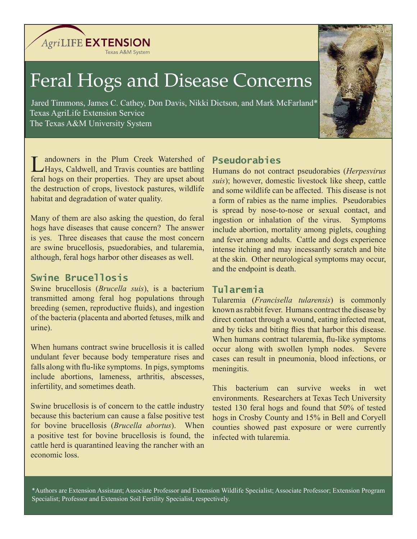Texas A&M System

**AgriLIFE EXTENSION** 

# Feral Hogs and Disease Concerns

 Jared Timmons, James C. Cathey, Don Davis, Nikki Dictson, and Mark McFarland\* Texas AgriLife Extension Service The Texas A&M University System



andowners in the Plum Creek Watershed of Hays, Caldwell, and Travis counties are battling feral hogs on their properties. They are upset about the destruction of crops, livestock pastures, wildlife habitat and degradation of water quality.

Many of them are also asking the question, do feral hogs have diseases that cause concern? The answer is yes. Three diseases that cause the most concern are swine brucellosis, psuedorabies, and tularemia, although, feral hogs harbor other diseases as well.

## **Swine Brucellosis**

Swine brucellosis (*Brucella suis*), is a bacterium transmitted among feral hog populations through breeding (semen, reproductive fluids), and ingestion of the bacteria (placenta and aborted fetuses, milk and urine).

When humans contract swine brucellosis it is called undulant fever because body temperature rises and falls along with flu-like symptoms. In pigs, symptoms include abortions, lameness, arthritis, abscesses, infertility, and sometimes death.

Swine brucellosis is of concern to the cattle industry because this bacterium can cause a false positive test for bovine brucellosis (*Brucella abortus*). When a positive test for bovine brucellosis is found, the cattle herd is quarantined leaving the rancher with an economic loss.

# **Pseudorabies**

Humans do not contract pseudorabies (*Herpesvirus suis*); however, domestic livestock like sheep, cattle and some wildlife can be affected. This disease is not a form of rabies as the name implies. Pseudorabies is spread by nose-to-nose or sexual contact, and ingestion or inhalation of the virus. Symptoms include abortion, mortality among piglets, coughing and fever among adults. Cattle and dogs experience intense itching and may incessantly scratch and bite at the skin. Other neurological symptoms may occur, and the endpoint is death.

# **Tularemia**

Tularemia (*Francisella tularensis*) is commonly known as rabbit fever. Humans contract the disease by direct contact through a wound, eating infected meat, and by ticks and biting flies that harbor this disease. When humans contract tularemia, flu-like symptoms occur along with swollen lymph nodes. Severe cases can result in pneumonia, blood infections, or meningitis.

This bacterium can survive weeks in wet environments. Researchers at Texas Tech University tested 130 feral hogs and found that 50% of tested hogs in Crosby County and 15% in Bell and Coryell counties showed past exposure or were currently infected with tularemia.

\*Authors are Extension Assistant; Associate Professor and Extension Wildlife Specialist; Associate Professor; Extension Program Specialist; Professor and Extension Soil Fertility Specialist, respectively.